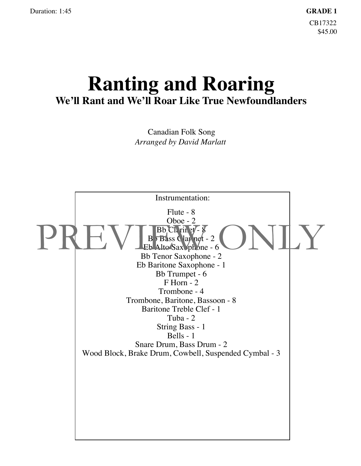## **Ranting and Roaring We'll Rant and We'll Roar Like True Newfoundlanders**

*Arranged by David Marlatt* Canadian Folk Song

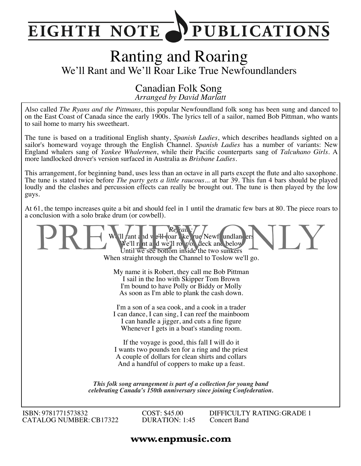**PUBLICATIONS EIGHTH NOTE** 

## Ranting and Roaring We'll Rant and We'll Roar Like True Newfoundlanders

## Canadian Folk Song

*Arranged by David Marlatt*

Also called *The Ryans and the Pittmans*, this popular Newfoundland folk song has been sung and danced to on the East Coast of Canada since the early 1900s. The lyrics tell of a sailor, named Bob Pittman, who wants to sail home to marry his sweetheart.

The tune is based on a traditional English shanty, *Spanish Ladies*, which describes headlands sighted on a sailor's homeward voyage through the English Channel. *Spanish Ladies* has a number of variants: New England whalers sang of *Yankee Whalermen*, while their Pacific counterparts sang of *Talcuhano Girls*. A more landlocked drover's version surfaced in Australia as *Brisbane Ladies*.

This arrangement, for beginning band, uses less than an octave in all parts except the flute and alto saxophone. The tune is stated twice before *The party gets a little raucous...* at bar 39. This fun 4 bars should be played loudly and the clashes and percussion effects can really be brought out. The tune is then played by the low guys.

At 61, the tempo increases quite a bit and should feel in 1 until the dramatic few bars at 80. The piece roars to a conclusion with a solo brake drum (or cowbell).

ISBN: 9781771573832 CATALOG NUMBER:CB17322 COST: \$45.00 DURATION: 1:45 DIFFICULTY RATING:GRADE 1 Concert Band *Refrain:* We'll rant and vettle oar like rue Newfoundlanders We'll  $r_i$  nt and we'll roar on deck and below Until we see bottom inside the two sunkers When straight through the Channel to Toslow we'll go. My name it is Robert, they call me Bob Pittman I sail in the Ino with Skipper Tom Brown I'm bound to have Polly or Biddy or Molly As soon as I'm able to plank the cash down. I'm a son of a sea cook, and a cook in a trader I can dance, I can sing, I can reef the mainboom I can handle a jigger, and cuts a fine figure Whenever I gets in a boat's standing room. If the voyage is good, this fall I will do it I wants two pounds ten for a ring and the priest A couple of dollars for clean shirts and collars And a handful of coppers to make up a feast. *This folk song arrangement is part of a collection for young band celebrating Canada's 150th anniversary since joining Confederation.* Review of the Channel to Toslow we'll go with the State of the Channel of Toslow we'll go

## **www.enpmusic.com**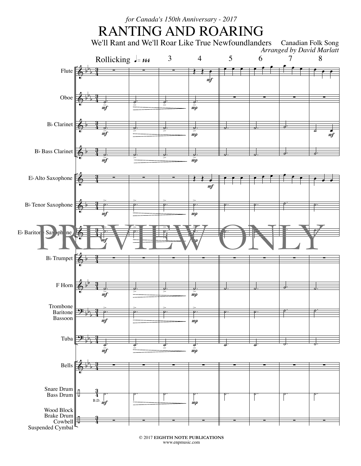

© 2017 **EIGHTH NOTE PUBLICATIONS** www.enpmusic.com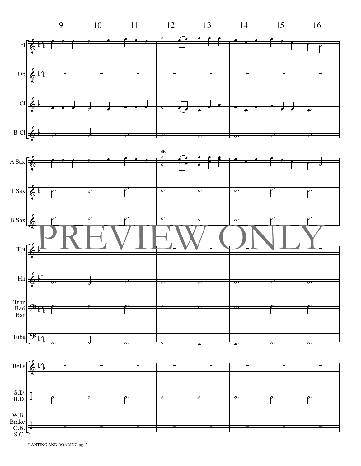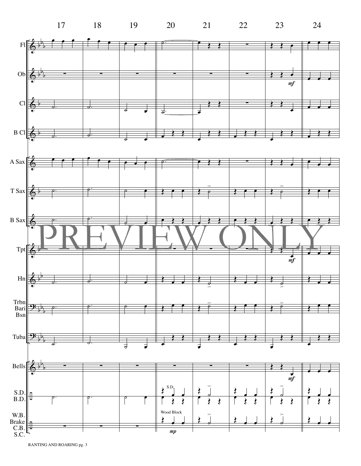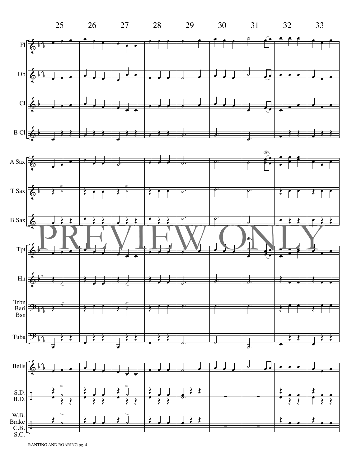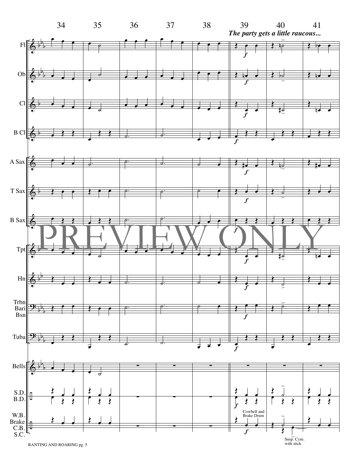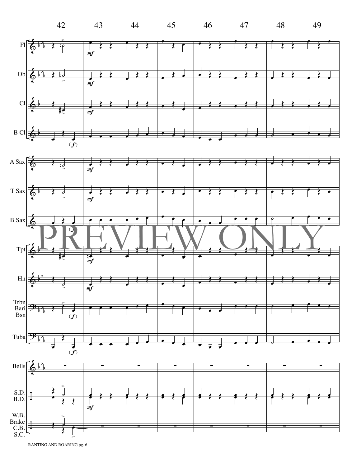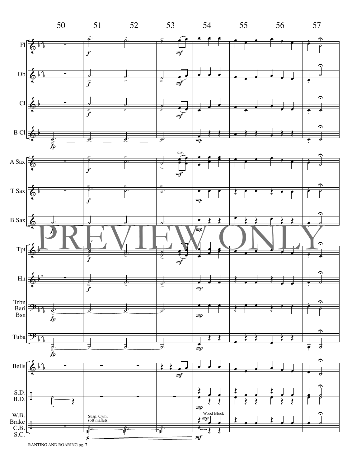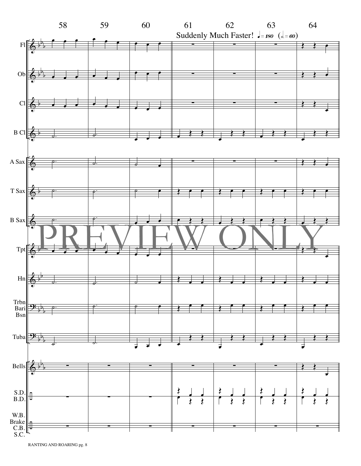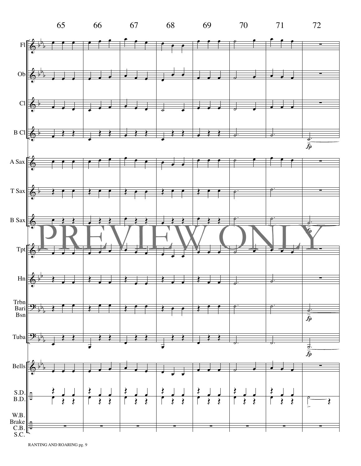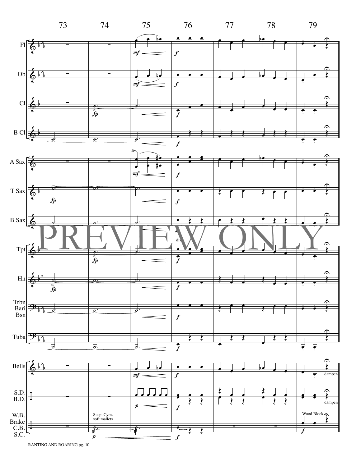